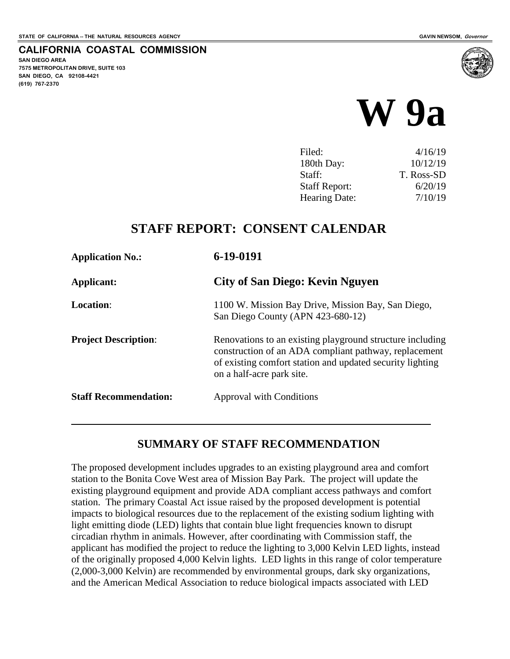**SAN DIEGO AREA**

**(619) 767-2370**

**7575 METROPOLITAN DRIVE, SUITE 103 SAN DIEGO, CA 92108-4421**

**CALIFORNIA COASTAL COMMISSION**

# **W 9a**

| Filed:               | 4/16/19    |
|----------------------|------------|
| 180th Day:           | 10/12/19   |
| Staff:               | T. Ross-SD |
| <b>Staff Report:</b> | 6/20/19    |
| Hearing Date:        | 7/10/19    |

### **STAFF REPORT: CONSENT CALENDAR**

| <b>Application No.:</b>      | 6-19-0191                                                                                                                                                                                                    |
|------------------------------|--------------------------------------------------------------------------------------------------------------------------------------------------------------------------------------------------------------|
| Applicant:                   | City of San Diego: Kevin Nguyen                                                                                                                                                                              |
| <b>Location:</b>             | 1100 W. Mission Bay Drive, Mission Bay, San Diego,<br>San Diego County (APN 423-680-12)                                                                                                                      |
| <b>Project Description:</b>  | Renovations to an existing playground structure including<br>construction of an ADA compliant pathway, replacement<br>of existing comfort station and updated security lighting<br>on a half-acre park site. |
| <b>Staff Recommendation:</b> | Approval with Conditions                                                                                                                                                                                     |
|                              |                                                                                                                                                                                                              |

#### **SUMMARY OF STAFF RECOMMENDATION**

The proposed development includes upgrades to an existing playground area and comfort station to the Bonita Cove West area of Mission Bay Park. The project will update the existing playground equipment and provide ADA compliant access pathways and comfort station. The primary Coastal Act issue raised by the proposed development is potential impacts to biological resources due to the replacement of the existing sodium lighting with light emitting diode (LED) lights that contain blue light frequencies known to disrupt circadian rhythm in animals. However, after coordinating with Commission staff, the applicant has modified the project to reduce the lighting to 3,000 Kelvin LED lights, instead of the originally proposed 4,000 Kelvin lights. LED lights in this range of color temperature (2,000-3,000 Kelvin) are recommended by environmental groups, dark sky organizations, and the American Medical Association to reduce biological impacts associated with LED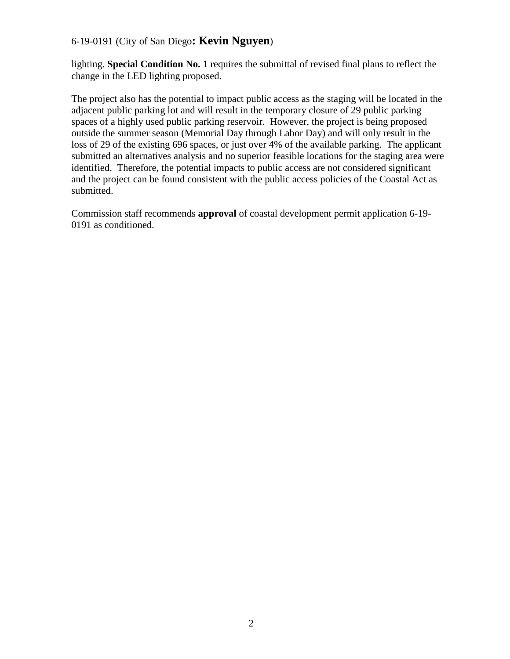#### 6-19-0191 (City of San Diego**: Kevin Nguyen**)

lighting. **Special Condition No. 1** requires the submittal of revised final plans to reflect the change in the LED lighting proposed.

The project also has the potential to impact public access as the staging will be located in the adjacent public parking lot and will result in the temporary closure of 29 public parking spaces of a highly used public parking reservoir. However, the project is being proposed outside the summer season (Memorial Day through Labor Day) and will only result in the loss of 29 of the existing 696 spaces, or just over 4% of the available parking. The applicant submitted an alternatives analysis and no superior feasible locations for the staging area were identified. Therefore, the potential impacts to public access are not considered significant and the project can be found consistent with the public access policies of the Coastal Act as submitted.

Commission staff recommends **approval** of coastal development permit application 6-19- 0191 as conditioned.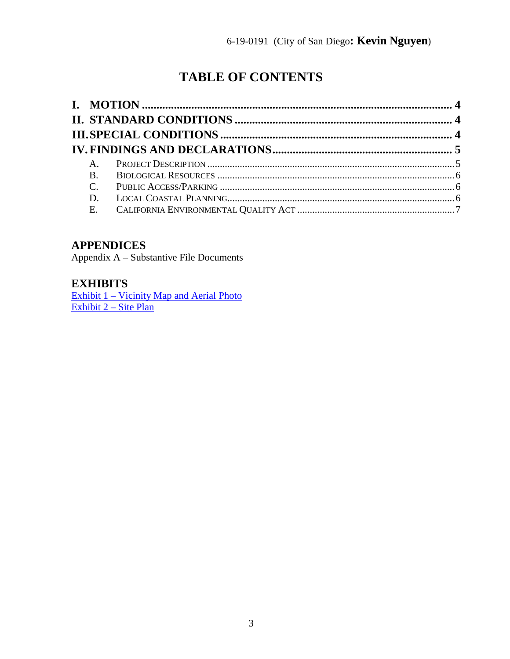# **TABLE OF CONTENTS**

| $A_{1}$     |  |
|-------------|--|
| <b>B.</b>   |  |
| $C_{\cdot}$ |  |
| D.          |  |
|             |  |
|             |  |

### **APPENDICES**

Appendix A – Substantive File Documents

#### **EXHIBITS**

[Exhibit 1 – Vicinity Map and Aerial Photo](https://documents.coastal.ca.gov/reports/2019/7/w9a/w9a-7-2019-exhibits.pdf) [Exhibit 2 – Site Plan](https://documents.coastal.ca.gov/reports/2019/7/w9a/w9a-7-2019-exhibits.pdf)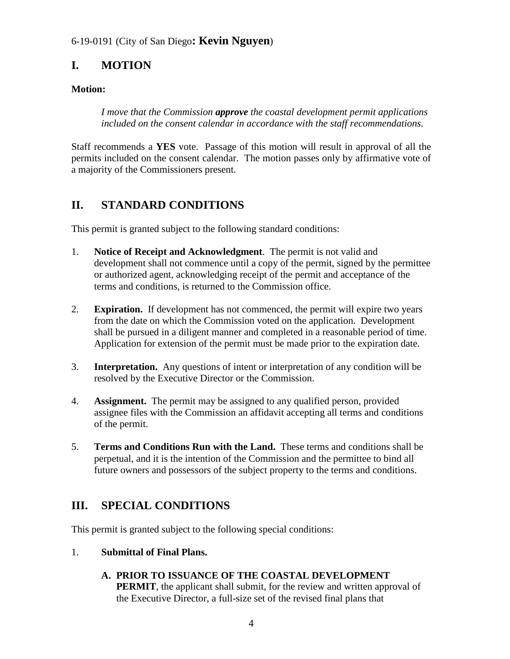#### 6-19-0191 (City of San Diego**: Kevin Nguyen**)

# <span id="page-3-0"></span>**I. MOTION**

#### **Motion:**

*I move that the Commission approve the coastal development permit applications included on the consent calendar in accordance with the staff recommendations.* 

Staff recommends a **YES** vote. Passage of this motion will result in approval of all the permits included on the consent calendar. The motion passes only by affirmative vote of a majority of the Commissioners present.

# <span id="page-3-1"></span>**II. STANDARD CONDITIONS**

This permit is granted subject to the following standard conditions:

- 1. **Notice of Receipt and Acknowledgment**. The permit is not valid and development shall not commence until a copy of the permit, signed by the permittee or authorized agent, acknowledging receipt of the permit and acceptance of the terms and conditions, is returned to the Commission office.
- 2. **Expiration.** If development has not commenced, the permit will expire two years from the date on which the Commission voted on the application. Development shall be pursued in a diligent manner and completed in a reasonable period of time. Application for extension of the permit must be made prior to the expiration date.
- 3. **Interpretation.** Any questions of intent or interpretation of any condition will be resolved by the Executive Director or the Commission.
- 4. **Assignment.** The permit may be assigned to any qualified person, provided assignee files with the Commission an affidavit accepting all terms and conditions of the permit.
- 5. **Terms and Conditions Run with the Land.** These terms and conditions shall be perpetual, and it is the intention of the Commission and the permittee to bind all future owners and possessors of the subject property to the terms and conditions.

# <span id="page-3-2"></span>**III. SPECIAL CONDITIONS**

This permit is granted subject to the following special conditions:

- 1. **Submittal of Final Plans.** 
	- **A. PRIOR TO ISSUANCE OF THE COASTAL DEVELOPMENT PERMIT**, the applicant shall submit, for the review and written approval of the Executive Director, a full-size set of the revised final plans that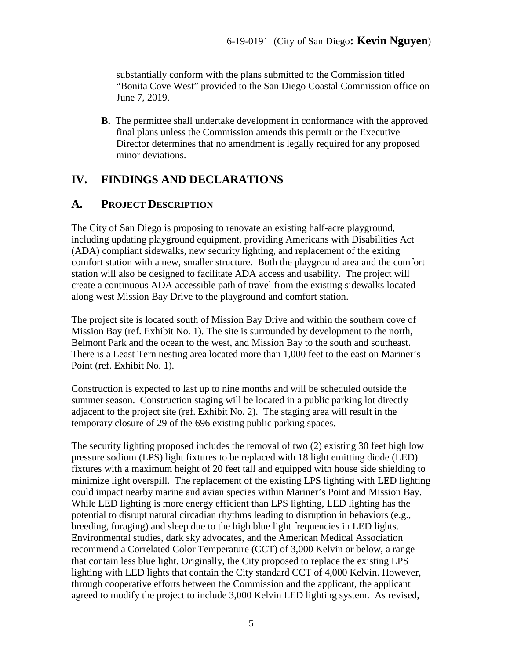substantially conform with the plans submitted to the Commission titled "Bonita Cove West" provided to the San Diego Coastal Commission office on June 7, 2019.

**B.** The permittee shall undertake development in conformance with the approved final plans unless the Commission amends this permit or the Executive Director determines that no amendment is legally required for any proposed minor deviations.

# <span id="page-4-0"></span>**IV. FINDINGS AND DECLARATIONS**

#### <span id="page-4-1"></span>**A. PROJECT DESCRIPTION**

The City of San Diego is proposing to renovate an existing half-acre playground, including updating playground equipment, providing Americans with Disabilities Act (ADA) compliant sidewalks, new security lighting, and replacement of the exiting comfort station with a new, smaller structure. Both the playground area and the comfort station will also be designed to facilitate ADA access and usability. The project will create a continuous ADA accessible path of travel from the existing sidewalks located along west Mission Bay Drive to the playground and comfort station.

The project site is located south of Mission Bay Drive and within the southern cove of Mission Bay (ref. Exhibit No. 1). The site is surrounded by development to the north, Belmont Park and the ocean to the west, and Mission Bay to the south and southeast. There is a Least Tern nesting area located more than 1,000 feet to the east on Mariner's Point (ref. Exhibit No. 1).

Construction is expected to last up to nine months and will be scheduled outside the summer season. Construction staging will be located in a public parking lot directly adjacent to the project site (ref. Exhibit No. 2). The staging area will result in the temporary closure of 29 of the 696 existing public parking spaces.

The security lighting proposed includes the removal of two (2) existing 30 feet high low pressure sodium (LPS) light fixtures to be replaced with 18 light emitting diode (LED) fixtures with a maximum height of 20 feet tall and equipped with house side shielding to minimize light overspill. The replacement of the existing LPS lighting with LED lighting could impact nearby marine and avian species within Mariner's Point and Mission Bay. While LED lighting is more energy efficient than LPS lighting, LED lighting has the potential to disrupt natural circadian rhythms leading to disruption in behaviors (e.g., breeding, foraging) and sleep due to the high blue light frequencies in LED lights. Environmental studies, dark sky advocates, and the American Medical Association recommend a Correlated Color Temperature (CCT) of 3,000 Kelvin or below, a range that contain less blue light. Originally, the City proposed to replace the existing LPS lighting with LED lights that contain the City standard CCT of 4,000 Kelvin. However, through cooperative efforts between the Commission and the applicant, the applicant agreed to modify the project to include 3,000 Kelvin LED lighting system. As revised,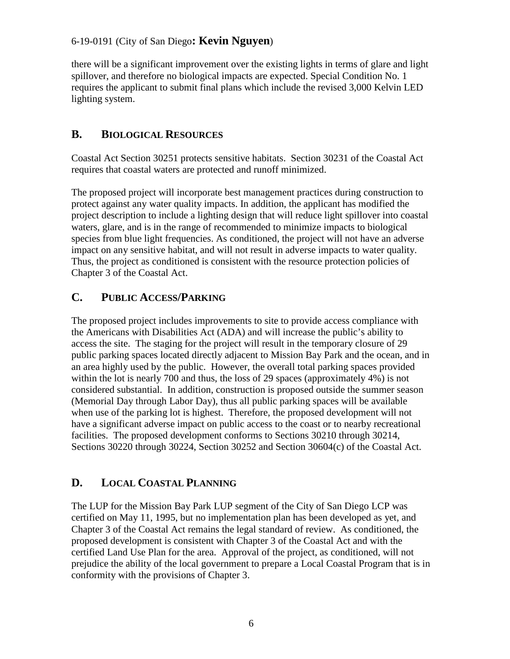#### 6-19-0191 (City of San Diego**: Kevin Nguyen**)

there will be a significant improvement over the existing lights in terms of glare and light spillover, and therefore no biological impacts are expected. Special Condition No. 1 requires the applicant to submit final plans which include the revised 3,000 Kelvin LED lighting system.

#### <span id="page-5-0"></span>**B. BIOLOGICAL RESOURCES**

Coastal Act Section 30251 protects sensitive habitats. Section 30231 of the Coastal Act requires that coastal waters are protected and runoff minimized.

The proposed project will incorporate best management practices during construction to protect against any water quality impacts. In addition, the applicant has modified the project description to include a lighting design that will reduce light spillover into coastal waters, glare, and is in the range of recommended to minimize impacts to biological species from blue light frequencies. As conditioned, the project will not have an adverse impact on any sensitive habitat, and will not result in adverse impacts to water quality. Thus, the project as conditioned is consistent with the resource protection policies of Chapter 3 of the Coastal Act.

#### <span id="page-5-1"></span>**C. PUBLIC ACCESS/PARKING**

The proposed project includes improvements to site to provide access compliance with the Americans with Disabilities Act (ADA) and will increase the public's ability to access the site. The staging for the project will result in the temporary closure of 29 public parking spaces located directly adjacent to Mission Bay Park and the ocean, and in an area highly used by the public. However, the overall total parking spaces provided within the lot is nearly 700 and thus, the loss of 29 spaces (approximately 4%) is not considered substantial. In addition, construction is proposed outside the summer season (Memorial Day through Labor Day), thus all public parking spaces will be available when use of the parking lot is highest. Therefore, the proposed development will not have a significant adverse impact on public access to the coast or to nearby recreational facilities. The proposed development conforms to Sections 30210 through 30214, Sections 30220 through 30224, Section 30252 and Section 30604(c) of the Coastal Act.

#### <span id="page-5-2"></span>**D. LOCAL COASTAL PLANNING**

The LUP for the Mission Bay Park LUP segment of the City of San Diego LCP was certified on May 11, 1995, but no implementation plan has been developed as yet, and Chapter 3 of the Coastal Act remains the legal standard of review. As conditioned, the proposed development is consistent with Chapter 3 of the Coastal Act and with the certified Land Use Plan for the area. Approval of the project, as conditioned, will not prejudice the ability of the local government to prepare a Local Coastal Program that is in conformity with the provisions of Chapter 3.